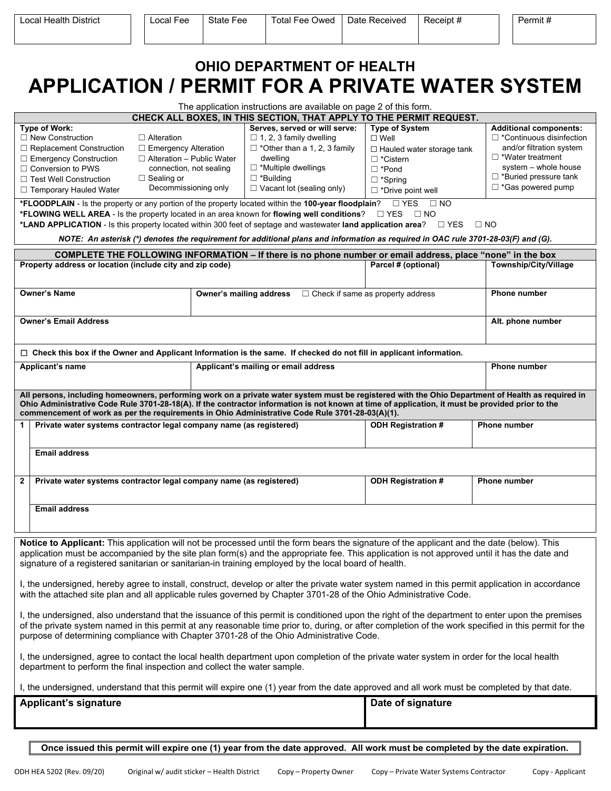| <b>OHIO DEPARTMENT OF HEALTH</b><br><b>APPLICATION / PERMIT FOR A PRIVATE WATER SYSTEM</b> |                                  |                                                                    |                                  |                                 |  |  |  |  |  |  |  |  |
|--------------------------------------------------------------------------------------------|----------------------------------|--------------------------------------------------------------------|----------------------------------|---------------------------------|--|--|--|--|--|--|--|--|
|                                                                                            |                                  | The application instructions are available on page 2 of this form. |                                  |                                 |  |  |  |  |  |  |  |  |
| CHECK ALL BOXES, IN THIS SECTION, THAT APPLY TO THE PERMIT REQUEST.                        |                                  |                                                                    |                                  |                                 |  |  |  |  |  |  |  |  |
| Type of Work:                                                                              |                                  | Serves, served or will serve:                                      | <b>Type of System</b>            | <b>Additional components:</b>   |  |  |  |  |  |  |  |  |
| □ New Construction                                                                         | $\Box$ Alteration                | $\Box$ 1, 2, 3 family dwelling                                     | $\Box$ Well                      | $\Box$ *Continuous disinfection |  |  |  |  |  |  |  |  |
| $\Box$ Replacement Construction                                                            | $\Box$ Emergency Alteration      | $\Box$ *Other than a 1, 2, 3 family                                | $\Box$ Hauled water storage tank | and/or filtration system        |  |  |  |  |  |  |  |  |
| $\Box$ Emergency Construction                                                              | $\Box$ Alteration – Public Water | dwelling                                                           | $\Box$ *Cistern                  | *Water treatment                |  |  |  |  |  |  |  |  |
| $\Box$ Conversion to PWS                                                                   | connection, not sealing          | $\Box$ *Multiple dwellings                                         | $\Box$ *Pond                     | system - whole house            |  |  |  |  |  |  |  |  |
| □ Test Well Construction                                                                   | $\Box$ Sealing or                | ⊐ *Building                                                        | $\Box$ *Spring                   | *Buried pressure tank           |  |  |  |  |  |  |  |  |
| $\Box$ Temporary Hauled Water                                                              | Decommissioning only             | $\Box$ Vacant lot (sealing only)                                   | $\Box$ *Drive point well         | $\Box$ *Gas powered pump        |  |  |  |  |  |  |  |  |

**\*FLOODPLAIN** - Is the property or any portion of the property located within the **100-year floodplain**? ☐ YES ☐ NO **\*FLOWING WELL AREA** - Is the property located in an area known for **flowing well conditions**? ☐ YES ☐ NO

**\*LAND APPLICATION** - Is this property located within 300 feet of septage and wastewater **land application area**? ☐ YES ☐ NO

| NOTE: An asterisk (*) denotes the requirement for additional plans and information as required in OAC rule 3701-28-03(F) and (G).                                                                                                                                                                                                                                                                  |                                                                                                                                                                                                                        |                                                                                                                                                                                                                                                                                                                                                                                                          |                                                  |                              |  |  |  |  |  |  |
|----------------------------------------------------------------------------------------------------------------------------------------------------------------------------------------------------------------------------------------------------------------------------------------------------------------------------------------------------------------------------------------------------|------------------------------------------------------------------------------------------------------------------------------------------------------------------------------------------------------------------------|----------------------------------------------------------------------------------------------------------------------------------------------------------------------------------------------------------------------------------------------------------------------------------------------------------------------------------------------------------------------------------------------------------|--------------------------------------------------|------------------------------|--|--|--|--|--|--|
|                                                                                                                                                                                                                                                                                                                                                                                                    |                                                                                                                                                                                                                        | COMPLETE THE FOLLOWING INFORMATION - If there is no phone number or email address, place "none" in the box                                                                                                                                                                                                                                                                                               |                                                  |                              |  |  |  |  |  |  |
|                                                                                                                                                                                                                                                                                                                                                                                                    | Property address or location (include city and zip code)                                                                                                                                                               |                                                                                                                                                                                                                                                                                                                                                                                                          | Parcel # (optional)                              | <b>Township/City/Village</b> |  |  |  |  |  |  |
|                                                                                                                                                                                                                                                                                                                                                                                                    | <b>Owner's Name</b>                                                                                                                                                                                                    | Owner's mailing address                                                                                                                                                                                                                                                                                                                                                                                  | $\Box$ Check if same as property address         | Phone number                 |  |  |  |  |  |  |
|                                                                                                                                                                                                                                                                                                                                                                                                    | <b>Owner's Email Address</b>                                                                                                                                                                                           | Alt. phone number                                                                                                                                                                                                                                                                                                                                                                                        |                                                  |                              |  |  |  |  |  |  |
|                                                                                                                                                                                                                                                                                                                                                                                                    |                                                                                                                                                                                                                        | $\Box$ Check this box if the Owner and Applicant Information is the same. If checked do not fill in applicant information.                                                                                                                                                                                                                                                                               |                                                  |                              |  |  |  |  |  |  |
|                                                                                                                                                                                                                                                                                                                                                                                                    | <b>Applicant's name</b>                                                                                                                                                                                                | Applicant's mailing or email address                                                                                                                                                                                                                                                                                                                                                                     |                                                  | <b>Phone number</b>          |  |  |  |  |  |  |
|                                                                                                                                                                                                                                                                                                                                                                                                    |                                                                                                                                                                                                                        | All persons, including homeowners, performing work on a private water system must be registered with the Ohio Department of Health as required in<br>Ohio Administrative Code Rule 3701-28-18(A). If the contractor information is not known at time of application, it must be provided prior to the<br>commencement of work as per the requirements in Ohio Administrative Code Rule 3701-28-03(A)(1). |                                                  |                              |  |  |  |  |  |  |
| 1                                                                                                                                                                                                                                                                                                                                                                                                  | Private water systems contractor legal company name (as registered)                                                                                                                                                    |                                                                                                                                                                                                                                                                                                                                                                                                          | <b>ODH Registration #</b><br><b>Phone number</b> |                              |  |  |  |  |  |  |
|                                                                                                                                                                                                                                                                                                                                                                                                    | <b>Email address</b>                                                                                                                                                                                                   |                                                                                                                                                                                                                                                                                                                                                                                                          |                                                  |                              |  |  |  |  |  |  |
| $\mathbf{2}$                                                                                                                                                                                                                                                                                                                                                                                       | Private water systems contractor legal company name (as registered)                                                                                                                                                    |                                                                                                                                                                                                                                                                                                                                                                                                          | <b>ODH Registration #</b>                        | <b>Phone number</b>          |  |  |  |  |  |  |
|                                                                                                                                                                                                                                                                                                                                                                                                    | <b>Email address</b>                                                                                                                                                                                                   |                                                                                                                                                                                                                                                                                                                                                                                                          |                                                  |                              |  |  |  |  |  |  |
|                                                                                                                                                                                                                                                                                                                                                                                                    |                                                                                                                                                                                                                        | Notice to Applicant: This application will not be processed until the form bears the signature of the applicant and the date (below). This                                                                                                                                                                                                                                                               |                                                  |                              |  |  |  |  |  |  |
| application must be accompanied by the site plan form(s) and the appropriate fee. This application is not approved until it has the date and<br>signature of a registered sanitarian or sanitarian-in training employed by the local board of health.                                                                                                                                              |                                                                                                                                                                                                                        |                                                                                                                                                                                                                                                                                                                                                                                                          |                                                  |                              |  |  |  |  |  |  |
| I, the undersigned, hereby agree to install, construct, develop or alter the private water system named in this permit application in accordance<br>with the attached site plan and all applicable rules governed by Chapter 3701-28 of the Ohio Administrative Code.                                                                                                                              |                                                                                                                                                                                                                        |                                                                                                                                                                                                                                                                                                                                                                                                          |                                                  |                              |  |  |  |  |  |  |
| I, the undersigned, also understand that the issuance of this permit is conditioned upon the right of the department to enter upon the premises<br>of the private system named in this permit at any reasonable time prior to, during, or after completion of the work specified in this permit for the<br>purpose of determining compliance with Chapter 3701-28 of the Ohio Administrative Code. |                                                                                                                                                                                                                        |                                                                                                                                                                                                                                                                                                                                                                                                          |                                                  |                              |  |  |  |  |  |  |
|                                                                                                                                                                                                                                                                                                                                                                                                    | I, the undersigned, agree to contact the local health department upon completion of the private water system in order for the local health<br>department to perform the final inspection and collect the water sample. |                                                                                                                                                                                                                                                                                                                                                                                                          |                                                  |                              |  |  |  |  |  |  |
|                                                                                                                                                                                                                                                                                                                                                                                                    |                                                                                                                                                                                                                        | I, the undersigned, understand that this permit will expire one (1) year from the date approved and all work must be completed by that date.                                                                                                                                                                                                                                                             |                                                  |                              |  |  |  |  |  |  |
|                                                                                                                                                                                                                                                                                                                                                                                                    | <b>Applicant's signature</b>                                                                                                                                                                                           | Date of signature                                                                                                                                                                                                                                                                                                                                                                                        |                                                  |                              |  |  |  |  |  |  |
|                                                                                                                                                                                                                                                                                                                                                                                                    |                                                                                                                                                                                                                        |                                                                                                                                                                                                                                                                                                                                                                                                          |                                                  |                              |  |  |  |  |  |  |

**Once issued this permit will expire one (1) year from the date approved. All work must be completed by the date expiration.**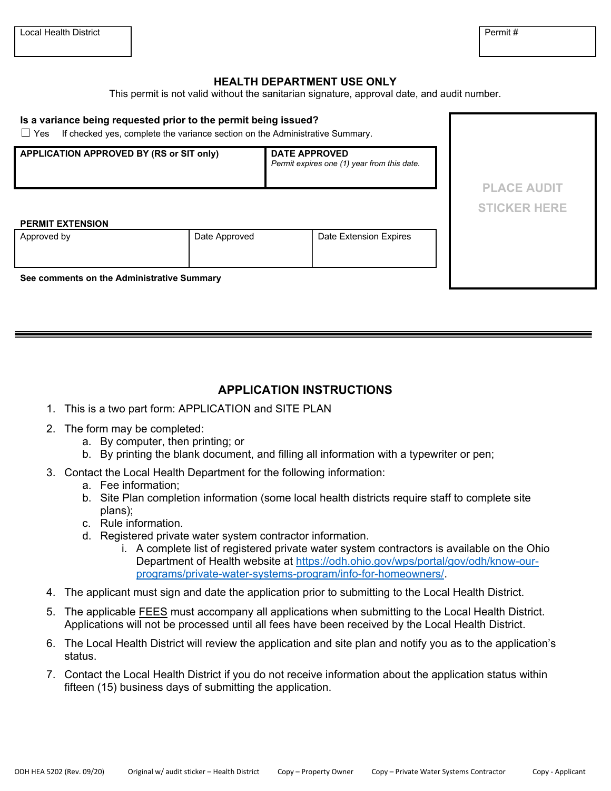## **HEALTH DEPARTMENT USE ONLY**

This permit is not valid without the sanitarian signature, approval date, and audit number.

| Is a variance being requested prior to the permit being issued?<br>If checked yes, complete the variance section on the Administrative Summary.<br>$\Box$ Yes |                    |                        |                     |  |  |  |  |  |  |  |  |
|---------------------------------------------------------------------------------------------------------------------------------------------------------------|--------------------|------------------------|---------------------|--|--|--|--|--|--|--|--|
| APPLICATION APPROVED BY (RS or SIT only)                                                                                                                      | <b>PLACE AUDIT</b> |                        |                     |  |  |  |  |  |  |  |  |
|                                                                                                                                                               |                    |                        |                     |  |  |  |  |  |  |  |  |
|                                                                                                                                                               |                    |                        | <b>STICKER HERE</b> |  |  |  |  |  |  |  |  |
| <b>PERMIT EXTENSION</b>                                                                                                                                       |                    |                        |                     |  |  |  |  |  |  |  |  |
| Approved by                                                                                                                                                   | Date Approved      | Date Extension Expires |                     |  |  |  |  |  |  |  |  |
| See comments on the Administrative Summary                                                                                                                    |                    |                        |                     |  |  |  |  |  |  |  |  |

## **APPLICATION INSTRUCTIONS**

- 1. This is a two part form: APPLICATION and SITE PLAN
- 2. The form may be completed:
	- a. By computer, then printing; or
	- b. By printing the blank document, and filling all information with a typewriter or pen;
- 3. Contact the Local Health Department for the following information:
	- a. Fee information;
	- b. Site Plan completion information (some local health districts require staff to complete site plans);
	- c. Rule information.
	- d. Registered private water system contractor information.
		- i. A complete list of registered private water system contractors is available on the Ohio Department of Health website at [https://odh.ohio.gov/wps/portal/gov/odh/know-our](https://odh.ohio.gov/wps/portal/gov/odh/know-our-programs/private-water-systems-program/info-for-homeowners/)[programs/private-water-systems-program/info-for-homeowners/.](https://odh.ohio.gov/wps/portal/gov/odh/know-our-programs/private-water-systems-program/info-for-homeowners/)
- 4. The applicant must sign and date the application prior to submitting to the Local Health District.
- 5. The applicable FEES must accompany all applications when submitting to the Local Health District. Applications will not be processed until all fees have been received by the Local Health District.
- 6. The Local Health District will review the application and site plan and notify you as to the application's status.
- 7. Contact the Local Health District if you do not receive information about the application status within fifteen (15) business days of submitting the application.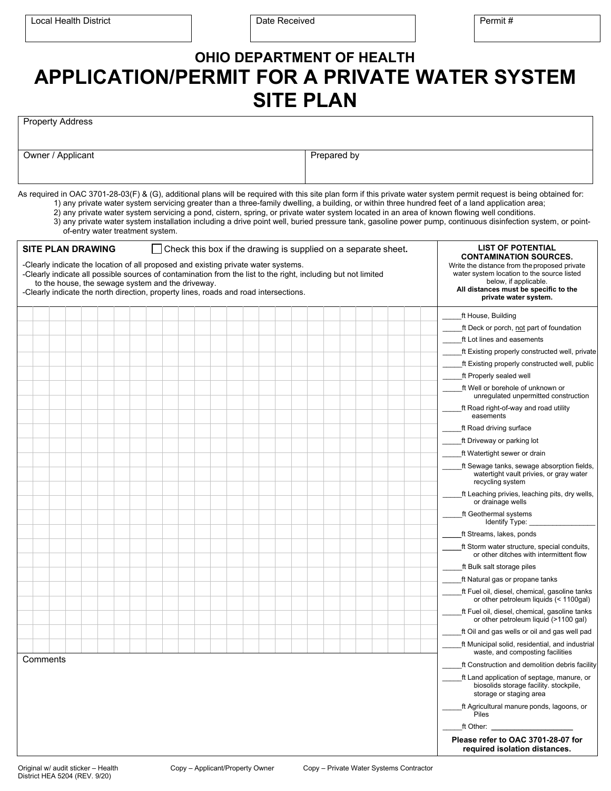|                                                                                                                                                                                                                                                                                                                                                  |                                  |  |  |  |  |  |  |  |  | <b>SITE PLAN</b>                                                      |  |  | <b>APPLICATION/PERMIT FOR A PRIVATE WATER SYSTEM</b>                                                                                                                                                                                                                                                                                                                                                                                                                                                                                                                                                                                    |
|--------------------------------------------------------------------------------------------------------------------------------------------------------------------------------------------------------------------------------------------------------------------------------------------------------------------------------------------------|----------------------------------|--|--|--|--|--|--|--|--|-----------------------------------------------------------------------|--|--|-----------------------------------------------------------------------------------------------------------------------------------------------------------------------------------------------------------------------------------------------------------------------------------------------------------------------------------------------------------------------------------------------------------------------------------------------------------------------------------------------------------------------------------------------------------------------------------------------------------------------------------------|
| <b>Property Address</b>                                                                                                                                                                                                                                                                                                                          |                                  |  |  |  |  |  |  |  |  |                                                                       |  |  |                                                                                                                                                                                                                                                                                                                                                                                                                                                                                                                                                                                                                                         |
| Owner / Applicant                                                                                                                                                                                                                                                                                                                                |                                  |  |  |  |  |  |  |  |  | Prepared by                                                           |  |  |                                                                                                                                                                                                                                                                                                                                                                                                                                                                                                                                                                                                                                         |
|                                                                                                                                                                                                                                                                                                                                                  |                                  |  |  |  |  |  |  |  |  |                                                                       |  |  |                                                                                                                                                                                                                                                                                                                                                                                                                                                                                                                                                                                                                                         |
|                                                                                                                                                                                                                                                                                                                                                  | of-entry water treatment system. |  |  |  |  |  |  |  |  |                                                                       |  |  | As required in OAC 3701-28-03(F) & (G), additional plans will be required with this site plan form if this private water system permit request is being obtained for:<br>1) any private water system servicing greater than a three-family dwelling, a building, or within three hundred feet of a land application area;<br>2) any private water system servicing a pond, cistern, spring, or private water system located in an area of known flowing well conditions.<br>3) any private water system installation including a drive point well, buried pressure tank, gasoline power pump, continuous disinfection system, or point- |
| <b>SITE PLAN DRAWING</b>                                                                                                                                                                                                                                                                                                                         |                                  |  |  |  |  |  |  |  |  | $\Box$ Check this box if the drawing is supplied on a separate sheet. |  |  | <b>LIST OF POTENTIAL</b><br><b>CONTAMINATION SOURCES.</b>                                                                                                                                                                                                                                                                                                                                                                                                                                                                                                                                                                               |
| -Clearly indicate the location of all proposed and existing private water systems.<br>-Clearly indicate all possible sources of contamination from the list to the right, including but not limited<br>to the house, the sewage system and the driveway.<br>-Clearly indicate the north direction, property lines, roads and road intersections. |                                  |  |  |  |  |  |  |  |  |                                                                       |  |  | Write the distance from the proposed private<br>water system location to the source listed<br>below, if applicable.<br>All distances must be specific to the<br>private water system.                                                                                                                                                                                                                                                                                                                                                                                                                                                   |
|                                                                                                                                                                                                                                                                                                                                                  |                                  |  |  |  |  |  |  |  |  |                                                                       |  |  | ft House, Building                                                                                                                                                                                                                                                                                                                                                                                                                                                                                                                                                                                                                      |
|                                                                                                                                                                                                                                                                                                                                                  |                                  |  |  |  |  |  |  |  |  |                                                                       |  |  | ft Deck or porch, not part of foundation                                                                                                                                                                                                                                                                                                                                                                                                                                                                                                                                                                                                |
|                                                                                                                                                                                                                                                                                                                                                  |                                  |  |  |  |  |  |  |  |  |                                                                       |  |  | ft Lot lines and easements                                                                                                                                                                                                                                                                                                                                                                                                                                                                                                                                                                                                              |
|                                                                                                                                                                                                                                                                                                                                                  |                                  |  |  |  |  |  |  |  |  |                                                                       |  |  | ft Existing properly constructed well, private                                                                                                                                                                                                                                                                                                                                                                                                                                                                                                                                                                                          |
|                                                                                                                                                                                                                                                                                                                                                  |                                  |  |  |  |  |  |  |  |  |                                                                       |  |  | ft Existing properly constructed well, public                                                                                                                                                                                                                                                                                                                                                                                                                                                                                                                                                                                           |
|                                                                                                                                                                                                                                                                                                                                                  |                                  |  |  |  |  |  |  |  |  |                                                                       |  |  | ft Properly sealed well                                                                                                                                                                                                                                                                                                                                                                                                                                                                                                                                                                                                                 |
|                                                                                                                                                                                                                                                                                                                                                  |                                  |  |  |  |  |  |  |  |  |                                                                       |  |  | ft Well or borehole of unknown or<br>unregulated unpermitted construction                                                                                                                                                                                                                                                                                                                                                                                                                                                                                                                                                               |
|                                                                                                                                                                                                                                                                                                                                                  |                                  |  |  |  |  |  |  |  |  |                                                                       |  |  | ft Road right-of-way and road utility<br>easements                                                                                                                                                                                                                                                                                                                                                                                                                                                                                                                                                                                      |
|                                                                                                                                                                                                                                                                                                                                                  |                                  |  |  |  |  |  |  |  |  |                                                                       |  |  | ft Road driving surface                                                                                                                                                                                                                                                                                                                                                                                                                                                                                                                                                                                                                 |
|                                                                                                                                                                                                                                                                                                                                                  |                                  |  |  |  |  |  |  |  |  |                                                                       |  |  | ft Driveway or parking lot                                                                                                                                                                                                                                                                                                                                                                                                                                                                                                                                                                                                              |
|                                                                                                                                                                                                                                                                                                                                                  |                                  |  |  |  |  |  |  |  |  |                                                                       |  |  | ft Watertight sewer or drain                                                                                                                                                                                                                                                                                                                                                                                                                                                                                                                                                                                                            |
|                                                                                                                                                                                                                                                                                                                                                  |                                  |  |  |  |  |  |  |  |  |                                                                       |  |  | ft Sewage tanks, sewage absorption fields.<br>watertight vault privies, or gray water<br>recycling system                                                                                                                                                                                                                                                                                                                                                                                                                                                                                                                               |
|                                                                                                                                                                                                                                                                                                                                                  |                                  |  |  |  |  |  |  |  |  |                                                                       |  |  | ft Leaching privies, leaching pits, dry wells,<br>or drainage wells                                                                                                                                                                                                                                                                                                                                                                                                                                                                                                                                                                     |
|                                                                                                                                                                                                                                                                                                                                                  |                                  |  |  |  |  |  |  |  |  |                                                                       |  |  | ft Geothermal systems<br>Identify Type:                                                                                                                                                                                                                                                                                                                                                                                                                                                                                                                                                                                                 |
|                                                                                                                                                                                                                                                                                                                                                  |                                  |  |  |  |  |  |  |  |  |                                                                       |  |  | ft Streams, lakes, ponds                                                                                                                                                                                                                                                                                                                                                                                                                                                                                                                                                                                                                |
|                                                                                                                                                                                                                                                                                                                                                  |                                  |  |  |  |  |  |  |  |  |                                                                       |  |  | ft Storm water structure, special conduits,<br>or other ditches with intermittent flow                                                                                                                                                                                                                                                                                                                                                                                                                                                                                                                                                  |
|                                                                                                                                                                                                                                                                                                                                                  |                                  |  |  |  |  |  |  |  |  |                                                                       |  |  | ft Bulk salt storage piles                                                                                                                                                                                                                                                                                                                                                                                                                                                                                                                                                                                                              |
|                                                                                                                                                                                                                                                                                                                                                  |                                  |  |  |  |  |  |  |  |  |                                                                       |  |  | ft Natural gas or propane tanks                                                                                                                                                                                                                                                                                                                                                                                                                                                                                                                                                                                                         |
|                                                                                                                                                                                                                                                                                                                                                  |                                  |  |  |  |  |  |  |  |  |                                                                       |  |  | ft Fuel oil, diesel, chemical, gasoline tanks<br>or other petroleum liquids (< 1100qal)                                                                                                                                                                                                                                                                                                                                                                                                                                                                                                                                                 |
|                                                                                                                                                                                                                                                                                                                                                  |                                  |  |  |  |  |  |  |  |  |                                                                       |  |  | ft Fuel oil, diesel, chemical, gasoline tanks<br>or other petroleum liquid (>1100 gal)                                                                                                                                                                                                                                                                                                                                                                                                                                                                                                                                                  |
|                                                                                                                                                                                                                                                                                                                                                  |                                  |  |  |  |  |  |  |  |  |                                                                       |  |  | ft Oil and gas wells or oil and gas well pad                                                                                                                                                                                                                                                                                                                                                                                                                                                                                                                                                                                            |
|                                                                                                                                                                                                                                                                                                                                                  |                                  |  |  |  |  |  |  |  |  |                                                                       |  |  | ft Municipal solid, residential, and industrial<br>waste, and composting facilities                                                                                                                                                                                                                                                                                                                                                                                                                                                                                                                                                     |
| Comments                                                                                                                                                                                                                                                                                                                                         |                                  |  |  |  |  |  |  |  |  |                                                                       |  |  | ft Construction and demolition debris facility                                                                                                                                                                                                                                                                                                                                                                                                                                                                                                                                                                                          |
|                                                                                                                                                                                                                                                                                                                                                  |                                  |  |  |  |  |  |  |  |  |                                                                       |  |  | ft Land application of septage, manure, or<br>biosolids storage facility. stockpile,<br>storage or staging area                                                                                                                                                                                                                                                                                                                                                                                                                                                                                                                         |
|                                                                                                                                                                                                                                                                                                                                                  |                                  |  |  |  |  |  |  |  |  |                                                                       |  |  | ft Agricultural manure ponds, lagoons, or<br>Piles                                                                                                                                                                                                                                                                                                                                                                                                                                                                                                                                                                                      |
|                                                                                                                                                                                                                                                                                                                                                  |                                  |  |  |  |  |  |  |  |  |                                                                       |  |  | ft Other: the contract of the contract of the contract of the contract of the contract of the contract of the contract of the contract of the contract of the contract of the contract of the contract of the contract of the                                                                                                                                                                                                                                                                                                                                                                                                           |
|                                                                                                                                                                                                                                                                                                                                                  |                                  |  |  |  |  |  |  |  |  |                                                                       |  |  | Please refer to OAC 3701-28-07 for<br>required isolation distances.                                                                                                                                                                                                                                                                                                                                                                                                                                                                                                                                                                     |